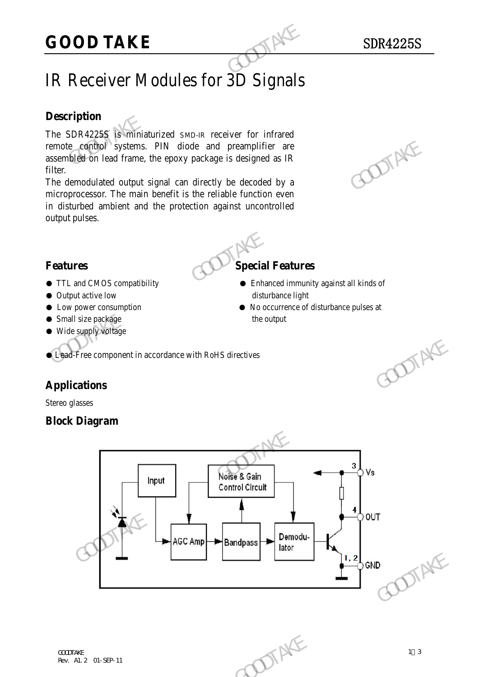## IR Receiver Modules for 3D Signals

### **Description**

The SDR4225S is miniaturized SMD-IR receiver for infrared remote control systems. PIN diode and preamplifier are assembled on lead frame, the epoxy package is designed as IR filter.

The demodulated output signal can directly be decoded by a microprocessor. The main benefit is the reliable function even in disturbed ambient and the protection against uncontrolled output pulses. **GOOD TAKE**<br>
IR Receiver Modules for 3D Signals<br>
Description<br>
The SDR4225S is similaturized SMD-IR receiver for infrared<br>
remote control systems. PIN diode and preamplifier are<br>
assembled on lead frame, the epoxy package i remote combol systems. PIN diode and preamplifier are<br>assembled on lead frame, the epoxy package is designed as IR<br>filter.<br>The demodulated output signal can directly be decoded by a<br>microprocessor. The main benefit is the



- TTL and CMOS compatibility Enhanced immunity against all kinds of
- Output active low disturbance light
- Low power consumption No occurrence of disturbance pulses at
- Small size package the output
- Wide supply voltage

● Lead-Free component in accordance with RoHS directives

### **Applications**

Stereo glasses

### **Block Diagram**

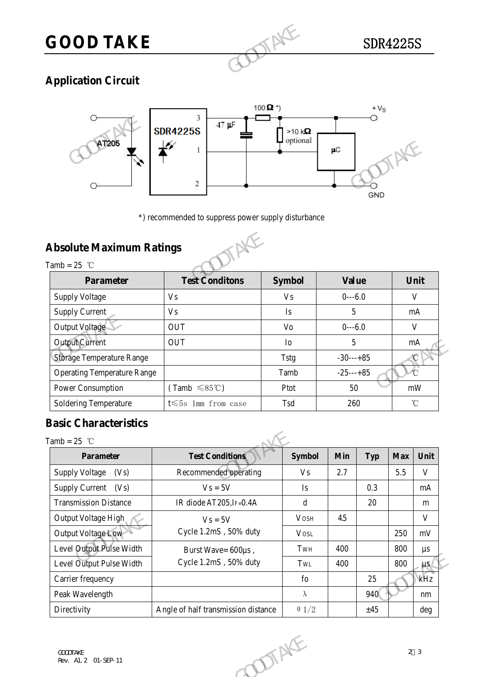# **GOOD TAKE** SDR4225S

## **Application Circuit**



### **Absolute Maximum Ratings**

| AT205                                             | 1<br>2<br>*) recommended to suppress power supply disturbance | $\Box$ optional | $\mu\text{C}$<br><b>GND</b> |                          |
|---------------------------------------------------|---------------------------------------------------------------|-----------------|-----------------------------|--------------------------|
| <b>Absolute Maximum Ratings</b><br>Tamb = $25$ °C |                                                               |                 |                             |                          |
| <b>Parameter</b>                                  | <b>Test Conditons</b>                                         | <b>Symbol</b>   | <b>Value</b>                | Unit                     |
| <b>Supply Voltage</b>                             | <b>Vs</b>                                                     | V <sub>S</sub>  | $0--6.0$                    | V                        |
| <b>Supply Current</b>                             | <b>Vs</b>                                                     | Is              | 5                           | mA                       |
| Output Voltage                                    | <b>OUT</b>                                                    | Vo              | $0--6.0$                    | $\mathbf{V}$             |
| <b>Output Current</b>                             | <b>OUT</b>                                                    | I <sub>o</sub>  | 5                           | mA                       |
| <b>Storage Temperature Range</b>                  |                                                               | Tstg            | $-30---+85$                 | C                        |
| <b>Operating Temperature Range</b>                |                                                               | Tamb            | $-25$ ---+85                | $\overline{\mathcal{C}}$ |
| Power Consumption                                 | $(Tamb \leq 85^{\circ}C)$                                     | Ptot            | 50                          | mW                       |
| <b>Soldering Temperature</b>                      | t $\leqslant$ 5s 1mm from case                                | Tsd             | 260                         | $\mathrm{C}$             |

### **Basic Characteristics**

Tamb  $-25$  °

| <b>Output Current</b>              | <b>OUT</b>                          | 5<br>I <sub>0</sub>                            |              |          | $\rm mA$   |                   |  |
|------------------------------------|-------------------------------------|------------------------------------------------|--------------|----------|------------|-------------------|--|
| <b>Storage Temperature Range</b>   |                                     | $-30---+85$<br><b>Tstg</b>                     |              |          |            |                   |  |
| <b>Operating Temperature Range</b> |                                     | Tamb                                           | $-25$ ---+85 |          |            |                   |  |
| Power Consumption                  | $(Tamb \leq 85^{\circ}C)$           | Ptot                                           |              | 50<br>mW |            |                   |  |
| Soldering Temperature              | t $\leqslant$ 5s 1mm from case      | Tsd                                            | 260          |          |            | $^\circ\!{\rm C}$ |  |
| <b>Basic Characteristics</b>       |                                     |                                                |              |          |            |                   |  |
| Tamb = $25$ °C                     |                                     |                                                |              |          |            |                   |  |
| <b>Parameter</b>                   | <b>Test Conditions</b>              | <b>Symbol</b>                                  | <b>Min</b>   | Typ      | <b>Max</b> | Unit              |  |
| <b>Supply Voltage</b><br>(Vs)      | Recommended operating               | V <sub>S</sub>                                 | 2.7          |          | 5.5        | $\mathbf{V}$      |  |
| Supply Current (Vs)                | $Vs = 5V$                           | $\mathbf{I}$ s                                 |              | 0.3      |            | mA                |  |
| <b>Transmission Distance</b>       | IR diode AT205, IF=0.4A             | $\mathrm{d}% \left\  \mathcal{H}\right\  _{A}$ |              | 20       |            | m                 |  |
| Output Voltage High                | $Vs = 5V$                           | <b>VOSH</b>                                    | 4.5          |          |            | $\mathbf V$       |  |
| Output Voltage Low                 | Cycle 1.2mS, 50% duty               | <b>VOSL</b>                                    |              |          | 250        | $\rm mV$          |  |
| Level Output Pulse Width           | Burst Wave= 600us,                  | TwH                                            | 400          |          | 800        | $\mu s$           |  |
| Level Output Pulse Width           | Cycle 1.2mS, 50% duty               | TWL                                            | 400          |          | 800        | $\mu\rm s$        |  |
| Carrier frequency                  |                                     | fo                                             |              | 25       |            | kHz               |  |
| Peak Wavelength                    |                                     | $\lambda$                                      |              | 940      |            | nm                |  |
| Directivity                        | Angle of half transmission distance | $\theta$ 1/2                                   |              | ±45      |            | deg               |  |